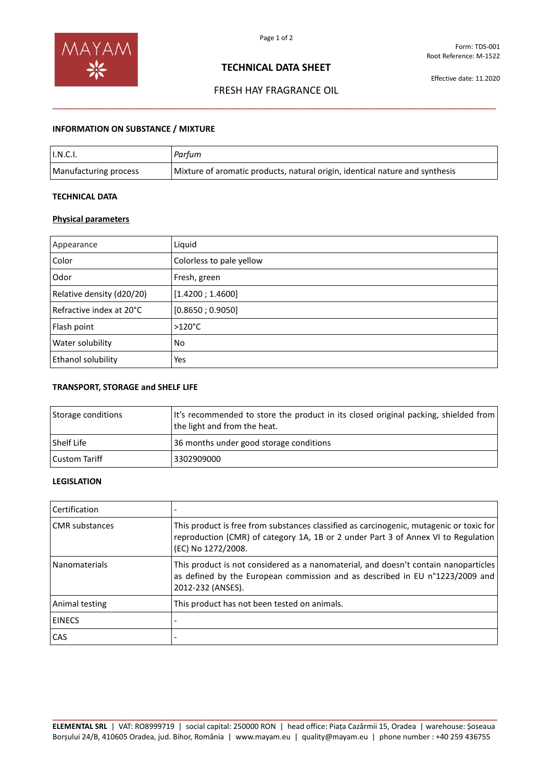

# **TECHNICAL DATA SHEET**

Effective date: 11.2020

# FRESH HAY FRAGRANCE OIL \_\_\_\_\_\_\_\_\_\_\_\_\_\_\_\_\_\_\_\_\_\_\_\_\_\_\_\_\_\_\_\_\_\_\_\_\_\_\_\_\_\_\_\_\_\_\_\_\_\_\_\_\_\_\_\_\_\_\_\_\_\_\_\_\_\_\_\_\_\_\_\_\_\_\_\_\_\_\_\_

## **INFORMATION ON SUBSTANCE / MIXTURE**

| I.N.C.I.              | Parfum                                                                       |
|-----------------------|------------------------------------------------------------------------------|
| Manufacturing process | Mixture of aromatic products, natural origin, identical nature and synthesis |

## **TECHNICAL DATA**

#### **Physical parameters**

| Appearance                | Liquid                   |
|---------------------------|--------------------------|
| Color                     | Colorless to pale yellow |
| Odor                      | Fresh, green             |
| Relative density (d20/20) | [1.4200; 1.4600]         |
| Refractive index at 20°C  | [0.8650; 0.9050]         |
| Flash point               | $>120^{\circ}$ C         |
| Water solubility          | No                       |
| Ethanol solubility        | Yes                      |

#### **TRANSPORT, STORAGE and SHELF LIFE**

| Storage conditions | It's recommended to store the product in its closed original packing, shielded from<br>the light and from the heat. |
|--------------------|---------------------------------------------------------------------------------------------------------------------|
| <b>Shelf Life</b>  | 36 months under good storage conditions                                                                             |
| Custom Tariff      | 3302909000                                                                                                          |

# **LEGISLATION**

| Certification         |                                                                                                                                                                                                    |
|-----------------------|----------------------------------------------------------------------------------------------------------------------------------------------------------------------------------------------------|
| <b>CMR</b> substances | This product is free from substances classified as carcinogenic, mutagenic or toxic for<br>reproduction (CMR) of category 1A, 1B or 2 under Part 3 of Annex VI to Regulation<br>(EC) No 1272/2008. |
| <b>Nanomaterials</b>  | This product is not considered as a nanomaterial, and doesn't contain nanoparticles<br>as defined by the European commission and as described in EU n°1223/2009 and<br>2012-232 (ANSES).           |
| Animal testing        | This product has not been tested on animals.                                                                                                                                                       |
| <b>EINECS</b>         |                                                                                                                                                                                                    |
| <b>CAS</b>            |                                                                                                                                                                                                    |